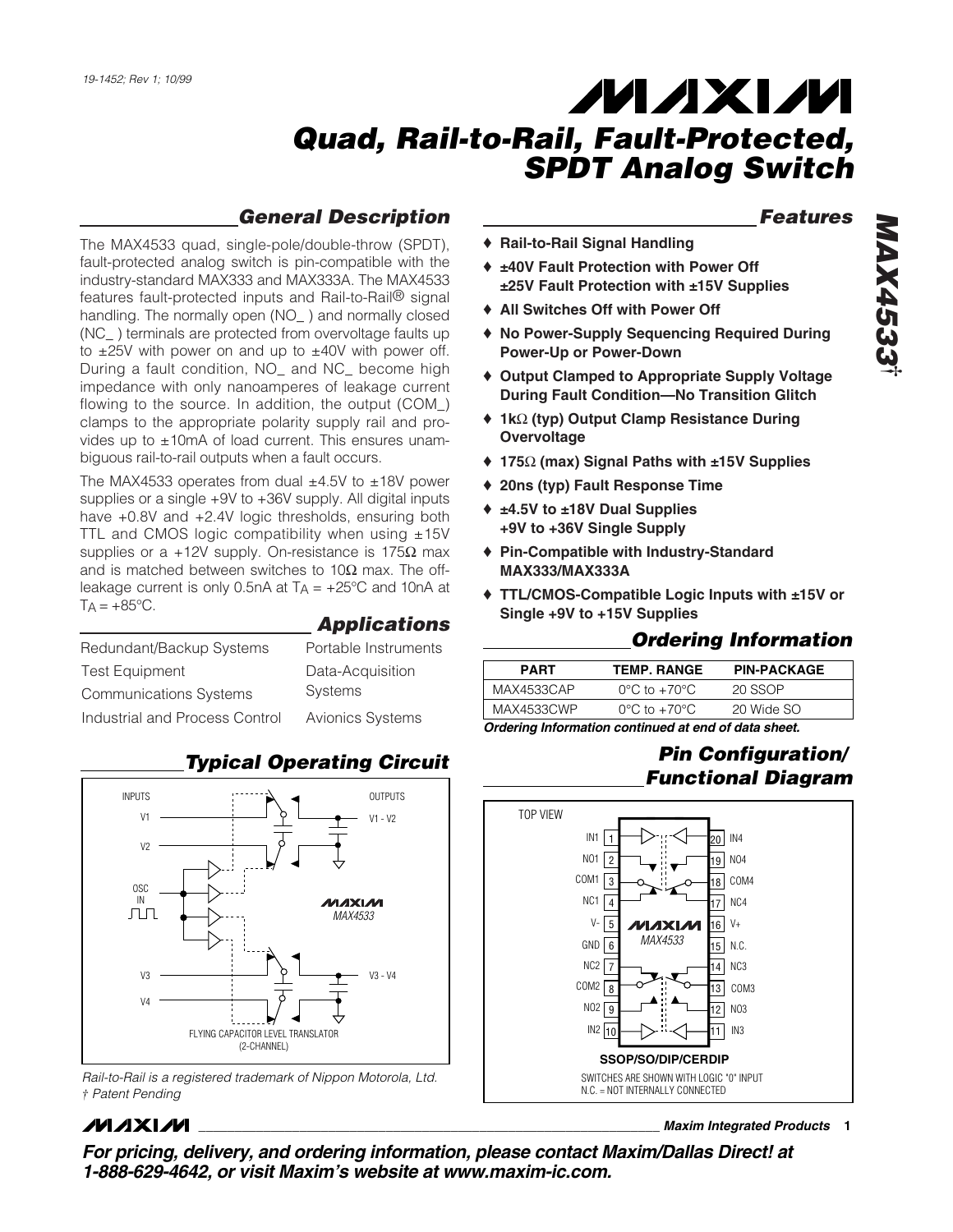## *General Description*

The MAX4533 quad, single-pole/double-throw (SPDT), fault-protected analog switch is pin-compatible with the industry-standard MAX333 and MAX333A. The MAX4533 features fault-protected inputs and Rail-to-Rail® signal handling. The normally open (NO\_) and normally closed (NC\_ ) terminals are protected from overvoltage faults up to  $\pm 25V$  with power on and up to  $\pm 40V$  with power off. During a fault condition, NO\_ and NC\_ become high impedance with only nanoamperes of leakage current flowing to the source. In addition, the output (COM\_) clamps to the appropriate polarity supply rail and provides up to  $\pm 10$ mA of load current. This ensures unambiguous rail-to-rail outputs when a fault occurs.

The MAX4533 operates from dual  $\pm$ 4.5V to  $\pm$ 18V power supplies or a single +9V to +36V supply. All digital inputs have +0.8V and +2.4V logic thresholds, ensuring both TTL and CMOS logic compatibility when using  $±15V$ supplies or a +12V supply. On-resistance is 175 $\Omega$  max and is matched between switches to  $10Ω$  max. The offleakage current is only 0.5nA at  $T_A = +25^{\circ}C$  and 10nA at  $TA = +85^{\circ}C$ .

| Redundant/Backup Systems       | Portable Instruments    |
|--------------------------------|-------------------------|
| <b>Test Equipment</b>          | Data-Acquisition        |
| <b>Communications Systems</b>  | <b>Systems</b>          |
| Industrial and Process Control | <b>Avionics Systems</b> |

### INPUTS OUTPUTS V1 - V2 V1 V2 OSC  $\frac{1}{\sqrt{2}}$ **MAXIM** *MAX4533* V3 - V4 V3 V4 FLYING CAPACITOR LEVEL TRANSLATOR (2-CHANNEL)

*Rail-to-Rail is a registered trademark of Nippon Motorola, Ltd. † Patent Pending*

## **MAXIM**

*Typical Operating Circuit*

*Applications*

## **\_\_\_\_\_\_\_\_\_\_\_\_\_\_\_\_\_\_\_\_\_\_\_\_\_\_\_\_\_\_\_\_\_\_\_\_\_\_\_\_\_\_\_\_\_\_\_\_\_\_\_\_\_\_\_\_\_\_\_\_\_\_\_\_** *Maxim Integrated Products* **1**

*For pricing, delivery, and ordering information, please contact Maxim/Dallas Direct! at 1-888-629-4642, or visit Maxim's website at www.maxim-ic.com.*

### *Features*

- ♦ **Rail-to-Rail Signal Handling**
- ♦ **±40V Fault Protection with Power Off ±25V Fault Protection with ±15V Supplies**
- ♦ **All Switches Off with Power Off**
- ♦ **No Power-Supply Sequencing Required During Power-Up or Power-Down**
- ♦ **Output Clamped to Appropriate Supply Voltage During Fault Condition—No Transition Glitch**
- ♦ **1k**Ω **(typ) Output Clamp Resistance During Overvoltage**
- ♦ **175**Ω **(max) Signal Paths with ±15V Supplies**
- ♦ **20ns (typ) Fault Response Time**
- ♦ **±4.5V to ±18V Dual Supplies +9V to +36V Single Supply**
- ♦ **Pin-Compatible with Industry-Standard MAX333/MAX333A**
- ♦ **TTL/CMOS-Compatible Logic Inputs with ±15V or Single +9V to +15V Supplies**

### *Ordering Information*

| <b>PART</b> | <b>TEMP. RANGE</b>                | <b>PIN-PACKAGE</b> |
|-------------|-----------------------------------|--------------------|
| MAX4533CAP  | $0^{\circ}$ C to +70 $^{\circ}$ C | 20 SSOP            |
| MAX4533CWP  | $0^{\circ}$ C to +70 $^{\circ}$ C | 20 Wide SO         |
|             |                                   |                    |

*Ordering Information continued at end of data sheet.*

## *Pin Configuration/ Functional Diagram*

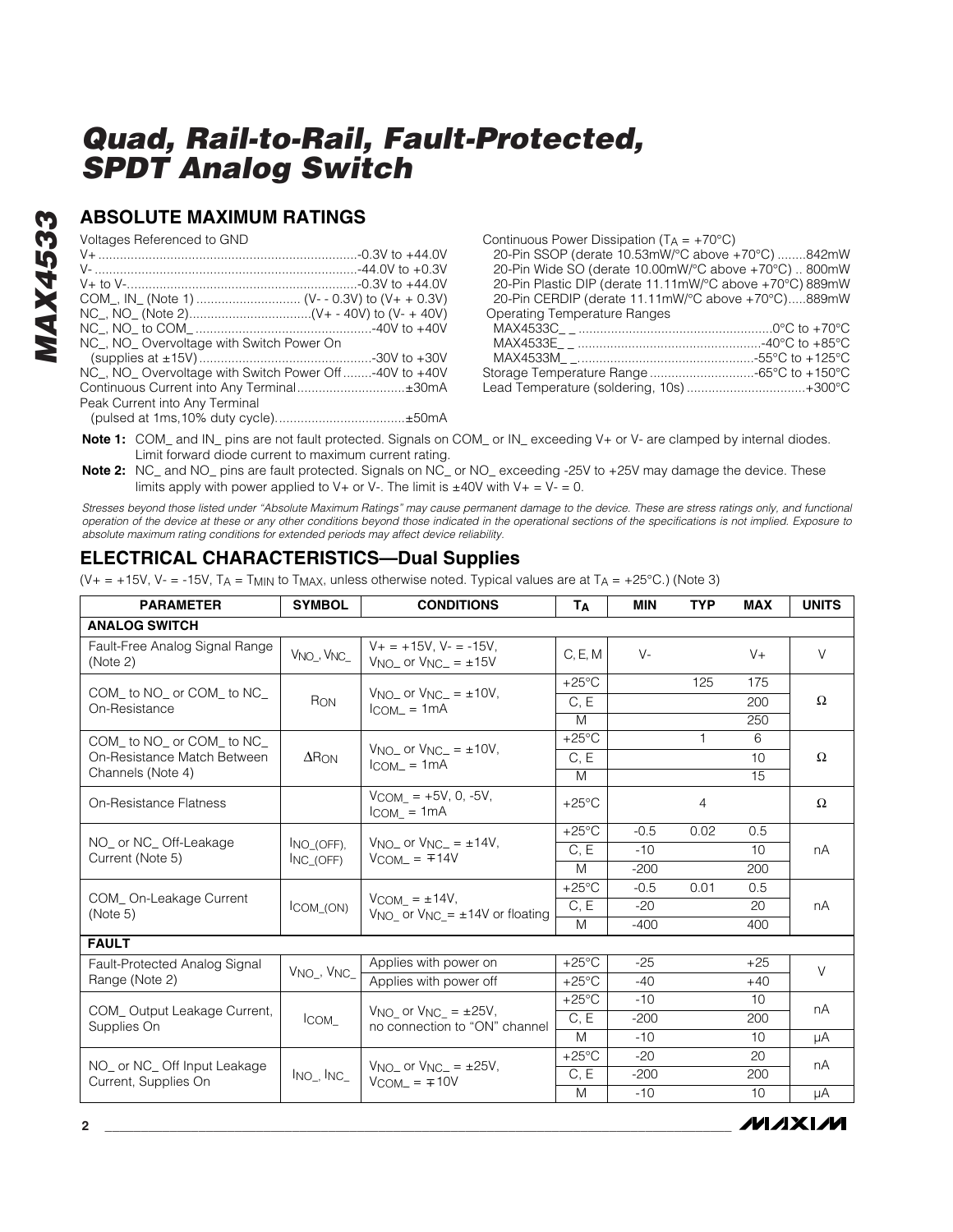### **ABSOLUTE MAXIMUM RATINGS**

Voltages Referenced to GND

| NC, NO Overvoltage with Switch Power On              |  |
|------------------------------------------------------|--|
|                                                      |  |
| NC, NO Overvoltage with Switch Power Off-40V to +40V |  |
|                                                      |  |
| Peak Current into Any Terminal                       |  |
|                                                      |  |

Continuous Power Dissipation  $(T_A = +70^{\circ}C)$ 

20-Pin SSOP (derate 10.53mW/°C above +70°C) ........842mW 20-Pin Wide SO (derate 10.00mW/°C above +70°C) .. 800mW 20-Pin Plastic DIP (derate 11.11mW/°C above +70°C) 889mW 20-Pin CERDIP (derate 11.11mW/°C above +70°C).....889mW Operating Temperature Ranges

**MAXIM** 

**Note 1:** COM\_ and IN\_ pins are not fault protected. Signals on COM\_ or IN\_ exceeding V+ or V- are clamped by internal diodes. Limit forward diode current to maximum current rating.

**Note 2:** NC\_ and NO\_ pins are fault protected. Signals on NC\_ or NO\_ exceeding -25V to +25V may damage the device. These limits apply with power applied to  $V_+$  or  $V_-$ . The limit is  $\pm 40V$  with  $V_+ = V_- = 0$ .

*Stresses beyond those listed under "Absolute Maximum Ratings" may cause permanent damage to the device. These are stress ratings only, and functional operation of the device at these or any other conditions beyond those indicated in the operational sections of the specifications is not implied. Exposure to absolute maximum rating conditions for extended periods may affect device reliability.*

### **ELECTRICAL CHARACTERISTICS—Dual Supplies**

(V+ = +15V, V- = -15V, TA = T<sub>MIN</sub> to T<sub>MAX</sub>, unless otherwise noted. Typical values are at T<sub>A</sub> = +25°C.) (Note 3)

| <b>PARAMETER</b>                                     | <b>SYMBOL</b>                     | <b>CONDITIONS</b>                                                                   | Tд              | <b>MIN</b> | <b>TYP</b> | <b>MAX</b> | <b>UNITS</b> |
|------------------------------------------------------|-----------------------------------|-------------------------------------------------------------------------------------|-----------------|------------|------------|------------|--------------|
| <b>ANALOG SWITCH</b>                                 |                                   |                                                                                     |                 |            |            |            |              |
| Fault-Free Analog Signal Range<br>(Note 2)           | V <sub>NO</sub> , V <sub>NC</sub> | $V_+ = +15V$ . $V_- = -15V$ .<br>$VNO$ or $VNC = \pm 15V$                           | C, E, M         | $V -$      |            | $V +$      | $\vee$       |
| COM_ to NO_ or COM_ to NC_                           |                                   | $V_{NO-}$ or $V_{NCL} = \pm 10V$ ,                                                  | $+25^{\circ}$ C |            | 125        | 175        |              |
| On-Resistance                                        | R <sub>ON</sub>                   | $ICOM = 1mA$                                                                        | C, E            |            |            | 200        | $\Omega$     |
|                                                      |                                   |                                                                                     | M               |            |            | 250        |              |
| COM to NO or COM to NC                               |                                   | $V_{\text{NO}}$ or $V_{\text{NC}} = \pm 10V$ .                                      | $+25^{\circ}$ C |            |            | 6          |              |
| On-Resistance Match Between                          | $\Delta$ R <sub>ON</sub>          | $ICOM = 1mA$                                                                        | C, E            |            |            | 10         | $\Omega$     |
| Channels (Note 4)                                    |                                   |                                                                                     | M               |            |            | 15         |              |
| On-Resistance Flatness                               |                                   | $V_{COM}$ = +5V, 0, -5V,<br>$ICOM = 1mA$                                            | $+25^{\circ}$ C |            | 4          |            | $\Omega$     |
|                                                      |                                   |                                                                                     | $+25^{\circ}$ C | $-0.5$     | 0.02       | 0.5        |              |
| NO_ or NC_Off-Leakage<br>Current (Note 5)            | INO (OFF).<br>INC (OFF)           | $V_{NO-}$ or $V_{NC-} = \pm 14V$ ,<br>$V_{COM}$ = $\mp 14V$                         | C, E            | $-10$      |            | 10         | nA           |
|                                                      |                                   |                                                                                     | M               | $-200$     |            | 200        |              |
|                                                      |                                   |                                                                                     | $+25^{\circ}$ C | $-0.5$     | 0.01       | 0.5        |              |
| COM_On-Leakage Current<br>(Note 5)                   | ICOM_(ON)                         | $V_{COM} = \pm 14V$ ,<br>V <sub>NO</sub> or V <sub>NC</sub> = $\pm$ 14V or floating | C, E            | $-20$      |            | 20         | nA           |
|                                                      |                                   |                                                                                     | M               | $-400$     |            | 400        |              |
| <b>FAULT</b>                                         |                                   |                                                                                     |                 |            |            |            |              |
| Fault-Protected Analog Signal                        | $V_{NO_-}$ , $V_{NC_-}$           | Applies with power on                                                               | $+25^{\circ}$ C | $-25$      |            | $+25$      | $\vee$       |
| Range (Note 2)                                       |                                   | Applies with power off                                                              | $+25^{\circ}$ C | $-40$      |            | $+40$      |              |
|                                                      |                                   |                                                                                     | $+25^{\circ}$ C | $-10$      |            | 10         | nA           |
| COM_Output Leakage Current,<br>Supplies On           | ICOM                              | V <sub>NO</sub> or V <sub>NC</sub> = $\pm$ 25V,<br>no connection to "ON" channel    | C, E            | $-200$     |            | 200        |              |
|                                                      |                                   |                                                                                     | M               | $-10$      |            | 10         | μA           |
|                                                      |                                   |                                                                                     | $+25^{\circ}$ C | $-20$      |            | 20         | nA           |
| NO_ or NC_ Off Input Leakage<br>Current, Supplies On | $Ino-, Inc-$                      | $V_{NO-}$ or $V_{NCL} = \pm 25V$ ,<br>$V_{COM-} = 10V$                              | C, E            | $-200$     |            | 200        |              |
|                                                      |                                   |                                                                                     | M               | $-10$      |            | 10         | μA           |

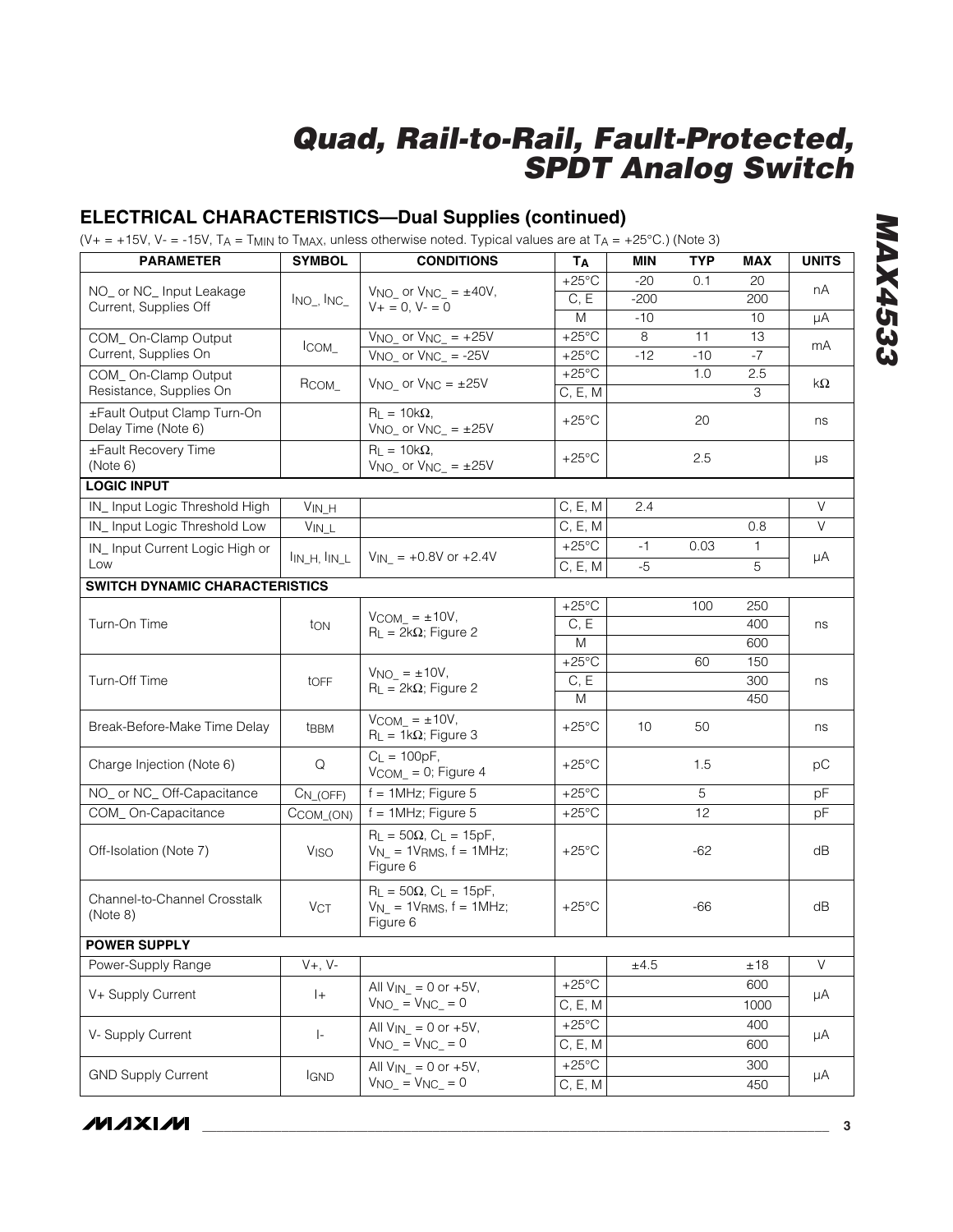## **ELECTRICAL CHARACTERISTICS—Dual Supplies (continued)**

(V+ = +15V, V- = -15V, TA = T<sub>MIN</sub> to T<sub>MAX</sub>, unless otherwise noted. Typical values are at T<sub>A</sub> = +25°C.) (Note 3)

| <b>PARAMETER</b>                                   | <b>SYMBOL</b>                         | <b>CONDITIONS</b>                                                                    | <b>Т</b> д                 | <b>MIN</b> | <b>TYP</b> | <b>MAX</b> | <b>UNITS</b> |  |
|----------------------------------------------------|---------------------------------------|--------------------------------------------------------------------------------------|----------------------------|------------|------------|------------|--------------|--|
|                                                    |                                       |                                                                                      | $+25^{\circ}$ C            | $-20$      | 0.1        | 20         | nA           |  |
| NO_ or NC_ Input Leakage<br>Current, Supplies Off  | $Ino-, Inc-$                          | $VNO_$ or $VNC_$ = $\pm 40V$ ,<br>$V + = 0, V - = 0$                                 | C, E                       | $-200$     |            | 200        |              |  |
|                                                    |                                       |                                                                                      | M                          | $-10$      |            | 10         | μA           |  |
| COM_On-Clamp Output                                | ICOM                                  | $V_{NO}$ or $V_{NC}$ = +25V                                                          | $+25^{\circ}$ C            | 8          | 11         | 13         | mA           |  |
| Current, Supplies On                               |                                       | $\overline{V_{NO_-}}$ or $\overline{V_{NC_-}}$ = -25V                                | $+25^{\circ}$ C            | $-12$      | $-10$      | $-7$       |              |  |
| COM_On-Clamp Output<br>Resistance, Supplies On     | RCOM_                                 | $V_{NO}$ or $V_{NC} = \pm 25V$                                                       | $+25^{\circ}$ C<br>C, E, M |            | 1.0        | 2.5<br>3   | kΩ           |  |
| ±Fault Output Clamp Turn-On<br>Delay Time (Note 6) |                                       | $R_L = 10k\Omega$ ,<br>$V_{NO}$ or $V_{NC}$ = $\pm 25V$                              | $+25^{\circ}$ C            |            | 20         |            | ns           |  |
| ±Fault Recovery Time<br>(Note 6)                   |                                       | $R_1 = 10k\Omega$<br>$V_{NO}$ or $V_{NC} = \pm 25V$                                  | $+25^{\circ}$ C            |            | 2.5        |            | μs           |  |
| <b>LOGIC INPUT</b>                                 |                                       |                                                                                      |                            |            |            |            |              |  |
| IN_Input Logic Threshold High                      | $V_{IN_H}$                            |                                                                                      | C, E, M                    | 2.4        |            |            | $\vee$       |  |
| IN_Input Logic Threshold Low                       | $V_{IN\_L}$                           |                                                                                      | C, E, M                    |            |            | 0.8        | $\vee$       |  |
| IN_Input Current Logic High or                     | I <sub>IN_H</sub> , I <sub>IN_L</sub> | $V_{IN}$ = +0.8V or +2.4V                                                            | $+25^{\circ}$ C            | $-1$       | 0.03       | 1          | μA           |  |
| Low                                                |                                       |                                                                                      | C, E, M                    | $-5$       |            | 5          |              |  |
| <b>SWITCH DYNAMIC CHARACTERISTICS</b>              |                                       |                                                                                      |                            |            |            |            |              |  |
|                                                    |                                       | $V_{COM_} = \pm 10V$ ,                                                               | $+25^{\circ}$ C            |            | 100        | 250        | ns           |  |
| Turn-On Time                                       | ton                                   | $R_L = 2k\Omega$ ; Figure 2                                                          | C, E                       |            |            | 400        |              |  |
|                                                    |                                       |                                                                                      | M                          |            |            | 600        |              |  |
|                                                    | toff                                  | $VNO = ±10V,$<br>$R_L = 2k\Omega$ ; Figure 2                                         | $+25^{\circ}$ C            |            | 60         | 150        |              |  |
| Turn-Off Time                                      |                                       |                                                                                      | C, E                       |            |            | 300        | ns           |  |
|                                                    |                                       | $V_{COM} = \pm 10V$ ,                                                                | M                          |            |            | 450        |              |  |
| Break-Before-Make Time Delay                       | t <sub>BBM</sub>                      | $R_L = 1k\Omega$ ; Figure 3                                                          | $+25^{\circ}$ C            | 10         | 50         |            | ns           |  |
| Charge Injection (Note 6)                          | Q                                     | $C_{L} = 100pF,$<br>$V$ COM_ $= 0$ ; Figure 4                                        | $+25^{\circ}$ C            |            | 1.5        |            | pC           |  |
| NO_ or NC_Off-Capacitance                          | $C_{N_{1}(OFF)}$                      | $f = 1$ MHz; Figure 5                                                                | $+25^{\circ}$ C            |            | 5          |            | pF           |  |
| COM_On-Capacitance                                 | CCOM_(ON)                             | $f = 1$ MHz; Figure 5                                                                | $+25^{\circ}$ C            |            | 12         |            | pF           |  |
| Off-Isolation (Note 7)                             | <b>V<sub>ISO</sub></b>                | $R_L = 50\Omega$ , $C_L = 15pF$ ,<br>$V_{N_-}$ = 1VRMS, $f = 1$ MHz;<br>Figure 6     | $+25^{\circ}$ C            |            | $-62$      |            | dB           |  |
| Channel-to-Channel Crosstalk<br>(Note 8)           | <b>VCT</b>                            | $R_{L} = 50\Omega$ , $C_{L} = 15pF$ ,<br>$V_{N_-}$ = 1VRMS, $f = 1$ MHz;<br>Figure 6 | $+25^{\circ}$ C            |            | -66        |            | dB           |  |
| <b>POWER SUPPLY</b>                                |                                       |                                                                                      |                            |            |            |            |              |  |
| Power-Supply Range                                 | $V+$ , $V-$                           |                                                                                      |                            | $\pm 4.5$  |            | ±18        | $\vee$       |  |
| V+ Supply Current                                  | $ + $                                 | All $V_{IN}$ = 0 or +5V,                                                             | $+25^{\circ}$ C            |            |            | 600        | μA           |  |
|                                                    |                                       | $V_{NO_} = V_{NC_} = 0$                                                              | C, E, M                    |            |            | 1000       |              |  |
| V- Supply Current                                  | $\vert$ -                             | All $V_{IN}$ = 0 or +5V,                                                             | $+25^{\circ}$ C            |            |            | 400        | μA           |  |
|                                                    |                                       | $V_{NO_} = V_{NC_} = 0$                                                              | C, E, M                    |            |            | 600        |              |  |
| <b>GND Supply Current</b>                          | <b>IGND</b>                           | All $V_{IN}$ = 0 or +5V,                                                             | $+25^{\circ}$ C            |            |            | 300        | μA           |  |
|                                                    |                                       |                                                                                      | $VNO_$ = $VNC_$ = 0        | C, E, M    |            |            | 450          |  |

**MAX4533** *MAX4533*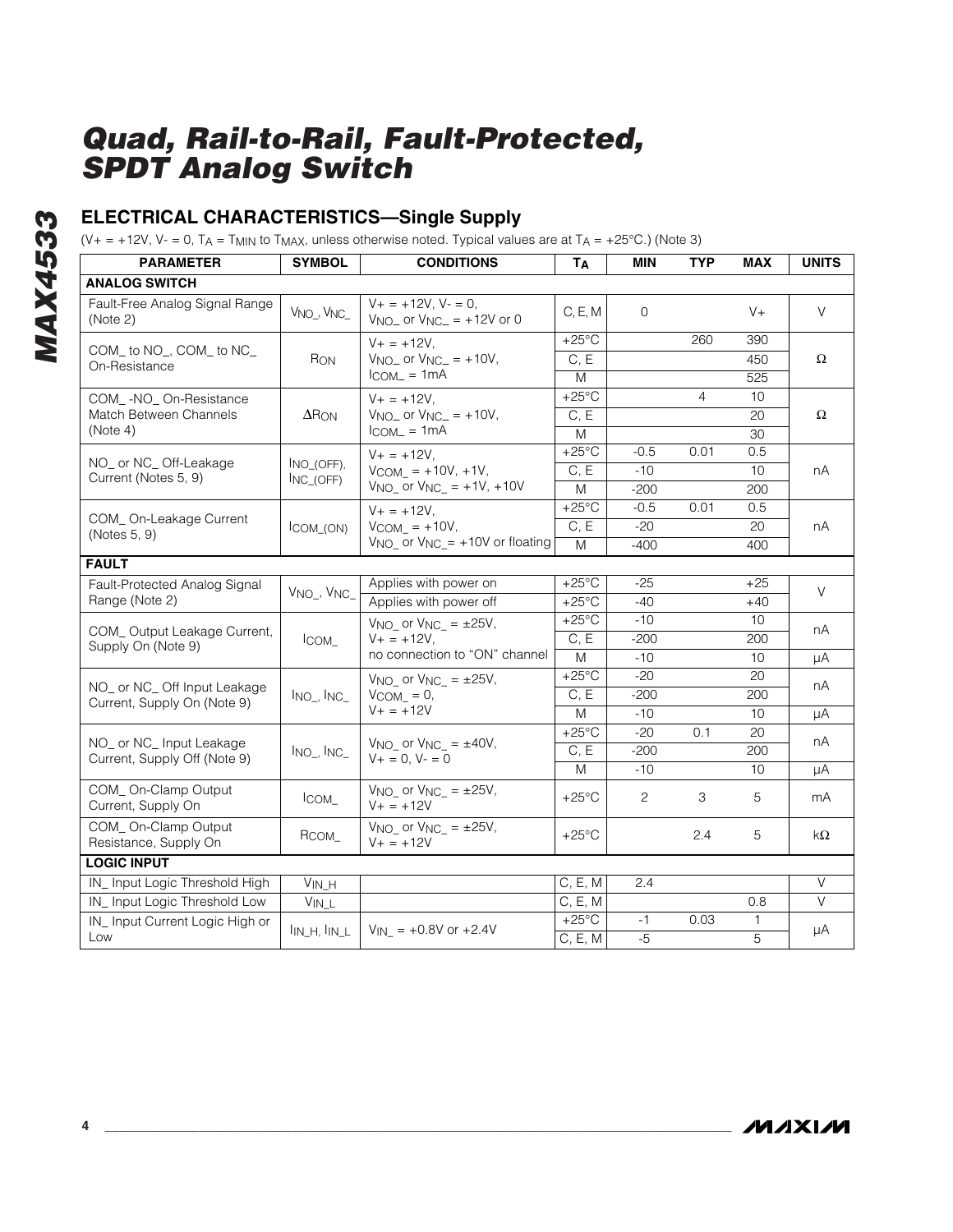## **ELECTRICAL CHARACTERISTICS—Single Supply**

(V+ = +12V, V- = 0, TA = T<sub>MIN</sub> to T<sub>MAX</sub>, unless otherwise noted. Typical values are at T<sub>A</sub> = +25°C.) (Note 3)

| <b>PARAMETER</b>                             | <b>SYMBOL</b>                                                  | <b>CONDITIONS</b>                                                | TA                | MIN          | <b>TYP</b>     | MAX             | <b>UNITS</b>   |
|----------------------------------------------|----------------------------------------------------------------|------------------------------------------------------------------|-------------------|--------------|----------------|-----------------|----------------|
| <b>ANALOG SWITCH</b>                         |                                                                |                                                                  |                   |              |                |                 |                |
| Fault-Free Analog Signal Range<br>(Note 2)   | V <sub>NO</sub> _, V <sub>NC</sub>                             | $V_+ = +12V$ , $V_- = 0$ ,<br>$V_{NO-}$ or $V_{NC-}$ = +12V or 0 | C, E, M           | $\mathbf{O}$ |                | $V +$           | V              |
|                                              |                                                                | $V + = +12V$ ,                                                   | $+25^{\circ}$ C   |              | 260            | 390             |                |
| COM_ to NO_, COM_ to NC_<br>On-Resistance    | RON                                                            | $VNO_$ or $VNC_$ = +10V,                                         | C, E              |              |                | 450             | $\Omega$       |
|                                              |                                                                | $I_{COM} = 1mA$                                                  | $\overline{M}$    |              |                | 525             |                |
| COM_-NO_On-Resistance                        |                                                                | $V + = +12V$ ,                                                   | $+25^{\circ}$ C   |              | $\overline{4}$ | 10              |                |
| Match Between Channels                       | $\Delta$ R <sub>ON</sub>                                       | $VNO_$ or $VNC_$ = +10V,                                         | C, E              |              |                | 20              | $\Omega$       |
| (Note 4)                                     |                                                                | $I_{COM} = 1mA$                                                  | $\overline{M}$    |              |                | 30              |                |
| NO_ or NC_Off-Leakage                        | INO_(OFF),                                                     | $V + = +12V$ ,                                                   | $+25^{\circ}$ C   | $-0.5$       | 0.01           | 0.5             |                |
| Current (Notes 5, 9)                         | $NC_$ (OFF)                                                    | $VCOM = +10V, +1V,$                                              | C, E              | $-10$        |                | 10              | nA             |
|                                              |                                                                | $V_{NO}$ or $V_{NC}$ = +1V, +10V                                 | M                 | $-200$       |                | 200             |                |
| COM_On-Leakage Current                       |                                                                | $V + = +12V$ ,                                                   | $+25^{\circ}$ C   | $-0.5$       | 0.01           | 0.5             |                |
| (Notes 5, 9)                                 | ICOM_(ON)                                                      | $V_{COM}$ = +10V,                                                | C, E              | $-20$        |                | 20              | nA             |
|                                              |                                                                | $V_{NO}$ or $V_{NC}$ = +10V or floating                          | M                 | $-400$       |                | 400             |                |
| <b>FAULT</b>                                 |                                                                |                                                                  |                   |              |                |                 |                |
| Fault-Protected Analog Signal                | V <sub>NO</sub> , V <sub>NC</sub>                              | Applies with power on                                            | $+25^{\circ}$ C   | $-25$        |                | $+25$           | $\vee$         |
| Range (Note 2)                               |                                                                | Applies with power off                                           | $+25^{\circ}$ C   | $-40$        |                | $+40$           |                |
| COM_Output Leakage Current,                  |                                                                | $V_{NO}$ or $V_{NC} = \pm 25V$ ,<br>$V + = +12V$ ,<br>ICOM       | $+25^{\circ}$ C   | $-10$        |                | 10              | nA             |
| Supply On (Note 9)                           |                                                                |                                                                  | C, E              | $-200$       |                | 200             |                |
|                                              |                                                                | no connection to "ON" channel                                    | M                 | $-10$        |                | 10              | μA             |
| NO or NC Off Input Leakage                   |                                                                | $V_{NO}$ or $V_{NC} = \pm 25V$ ,                                 | $+25^{\circ}$ C   | $-20$        |                | 20              | nA             |
| Current, Supply On (Note 9)                  | $Ino-, Inc-$                                                   | $V_{COM} = 0$ ,                                                  | C, E              | $-200$       |                | 200             |                |
|                                              |                                                                | $V + = +12V$                                                     | M                 | $-10$        |                | 10              | μA             |
| NO or NC Input Leakage                       |                                                                | V <sub>NO</sub> or V <sub>NC</sub> = $\pm$ 40V,                  | $+25^{\circ}$ C   | $-20$        | 0.1            | 20              | nA             |
| Current, Supply Off (Note 9)                 | $I_{NO_-}, I_{NC_-}$                                           | $V + = 0, V - = 0$                                               | $\overline{C, E}$ | $-200$       |                | 200             |                |
|                                              |                                                                |                                                                  | M                 | $-10$        |                | 10 <sup>1</sup> | μA             |
| COM_On-Clamp Output<br>Current, Supply On    | ICOM                                                           | V <sub>NO</sub> or V <sub>NC</sub> = $\pm 25V$ ,<br>$V + = +12V$ | $+25^{\circ}$ C   | 2            | 3              | 5               | mA             |
| COM_On-Clamp Output<br>Resistance, Supply On | Всом                                                           | V <sub>NO</sub> or V <sub>NC</sub> = $\pm 25V$ ,<br>$V + = +12V$ | $+25^{\circ}$ C   |              | 2.4            | 5               | $k\Omega$      |
| <b>LOGIC INPUT</b>                           |                                                                |                                                                  |                   |              |                |                 |                |
| IN_Input Logic Threshold High                | $V_{IN\_H}$                                                    |                                                                  | C, E, M           | 2.4          |                |                 | $\vee$         |
| IN_Input Logic Threshold Low                 | $V_{IN\_L}$                                                    |                                                                  | C, E, M           |              |                | 0.8             | $\overline{V}$ |
| IN_Input Current Logic High or               |                                                                |                                                                  | $+25^{\circ}$ C   | $-1$         | 0.03           | 1               |                |
| Low                                          | $\mathsf{I}_{\mathsf{IN}\_\mathsf{H},\mathsf{In}\_\mathsf{L}}$ | $V_{\text{IN}}$ = +0.8V or +2.4V                                 | C, E, M           | $-5$         |                | 5               | μA             |

*MAX4533*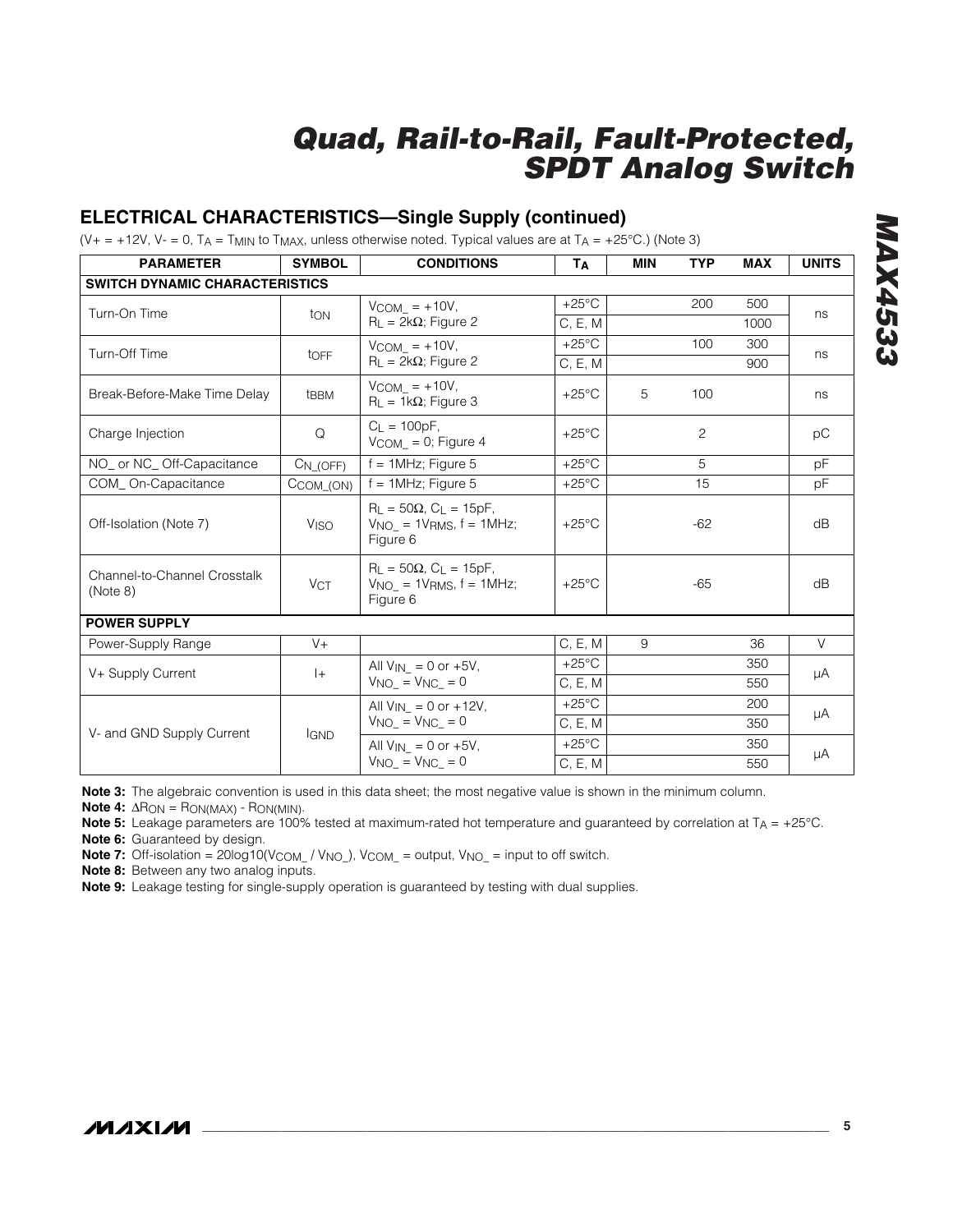## **ELECTRICAL CHARACTERISTICS—Single Supply (continued)**

(V+ = +12V, V- = 0, TA = T<sub>MIN</sub> to T<sub>MAX</sub>, unless otherwise noted. Typical values are at T<sub>A</sub> = +25°C.) (Note 3)

| <b>PARAMETER</b>                         | <b>SYMBOL</b>    | <b>CONDITIONS</b>                                                                 | <b>Т</b> д      | <b>MIN</b> | <b>TYP</b>     | <b>MAX</b> | <b>UNITS</b> |
|------------------------------------------|------------------|-----------------------------------------------------------------------------------|-----------------|------------|----------------|------------|--------------|
| <b>SWITCH DYNAMIC CHARACTERISTICS</b>    |                  |                                                                                   |                 |            |                |            |              |
| Turn-On Time                             |                  | $VCOM = +10V,$                                                                    | $+25^{\circ}$ C |            | 200            | 500        |              |
|                                          | ton              | $R_L = 2k\Omega$ ; Figure 2                                                       | C, E, M         |            |                | 1000       | ns           |
| Turn-Off Time                            |                  | $V_{COM}$ = +10V,                                                                 | $+25^{\circ}$ C |            | 100            | 300        | ns           |
|                                          | toFF             | $R_L = 2k\Omega$ ; Figure 2                                                       | C, E, M         |            |                | 900        |              |
| Break-Before-Make Time Delay             | t <sub>BBM</sub> | $V_{COM}$ = +10V,<br>$R_L = 1k\Omega$ ; Figure 3                                  | $+25^{\circ}$ C | 5          | 100            |            | ns           |
| Charge Injection                         | Q                | $C_1 = 100pF$ ,<br>$V_{COM_} = 0$ ; Figure 4                                      | $+25^{\circ}$ C |            | $\overline{c}$ |            | pC           |
| NO_ or NC_Off-Capacitance                | $CN_ (OFF)$      | $f = 1$ MHz; Figure 5                                                             | $+25^{\circ}$ C |            | 5              |            | pF           |
| COM On-Capacitance                       | CCOM_(ON)        | $f = 1$ MHz; Figure 5                                                             | $+25^{\circ}$ C |            | 15             |            | pF           |
| Off-Isolation (Note 7)                   | VISO             | $R_1 = 50\Omega$ , $C_1 = 15pF$ ,<br>$VNO = 1VRMS, f = 1MHz;$<br>Figure 6         | $+25^{\circ}$ C |            | $-62$          |            | dB           |
| Channel-to-Channel Crosstalk<br>(Note 8) | <b>VCT</b>       | $R_L = 50\Omega$ , $C_L = 15pF$ ,<br>$VNO_{-} = 1VRMS$ , $f = 1MHz$ ;<br>Figure 6 | $+25^{\circ}$ C |            | $-65$          |            | dB           |
| <b>POWER SUPPLY</b>                      |                  |                                                                                   |                 |            |                |            |              |
| Power-Supply Range                       | $V +$            |                                                                                   | C, E, M         | 9          |                | 36         | $\vee$       |
| V+ Supply Current                        | $ +$             | All $V_{IN} = 0$ or $+5V$ ,                                                       | $+25^{\circ}$ C |            |                | 350        | μA           |
|                                          |                  | $V_{NO_-} = V_{NC_-} = 0$                                                         | C, E, M         |            |                | 550        |              |
|                                          |                  | All $V_{IN} = 0$ or +12V,                                                         | $+25^{\circ}$ C |            |                | 200        | μA           |
| V- and GND Supply Current                | <b>IGND</b>      | $VNO_$ = $VNC_$ = 0                                                               | C, E, M         |            |                | 350        |              |
|                                          |                  | All $V_{IN} = 0$ or $+5V$ ,                                                       | $+25^{\circ}$ C |            |                | 350        | μA           |
|                                          |                  | $V_{NO} = V_{NC} = 0$                                                             | C, E, M         |            |                | 550        |              |

**Note 3:** The algebraic convention is used in this data sheet; the most negative value is shown in the minimum column.

**Note 4:**  $\Delta$ R<sub>ON</sub> = R<sub>ON(MAX)</sub> - R<sub>ON(MIN)</sub>.

**Note 5:** Leakage parameters are 100% tested at maximum-rated hot temperature and guaranteed by correlation at T<sub>A</sub> = +25°C.

**Note 6:** Guaranteed by design.

**Note 7:** Off-isolation = 20log10(V<sub>COM\_</sub> / V<sub>NO\_</sub>), V<sub>COM\_</sub> = output, V<sub>NO\_</sub> = input to off switch.

**Note 8:** Between any two analog inputs.

**Note 9:** Leakage testing for single-supply operation is guaranteed by testing with dual supplies.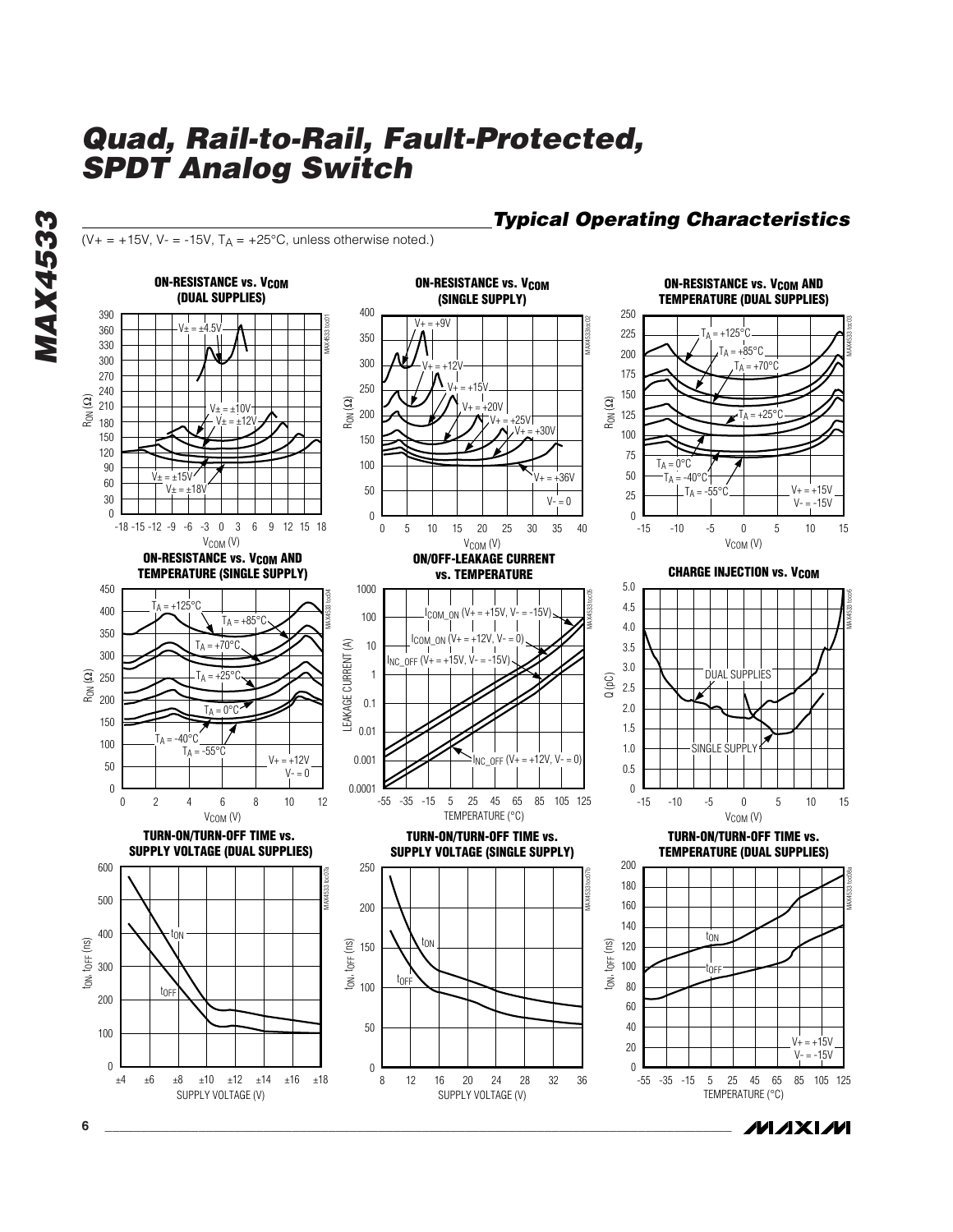( $V_+$  = +15V,  $V_-$  = -15V,  $T_A$  = +25°C, unless otherwise noted.)

### *Typical Operating Characteristics*



**MAXIM** 

*MAX4533*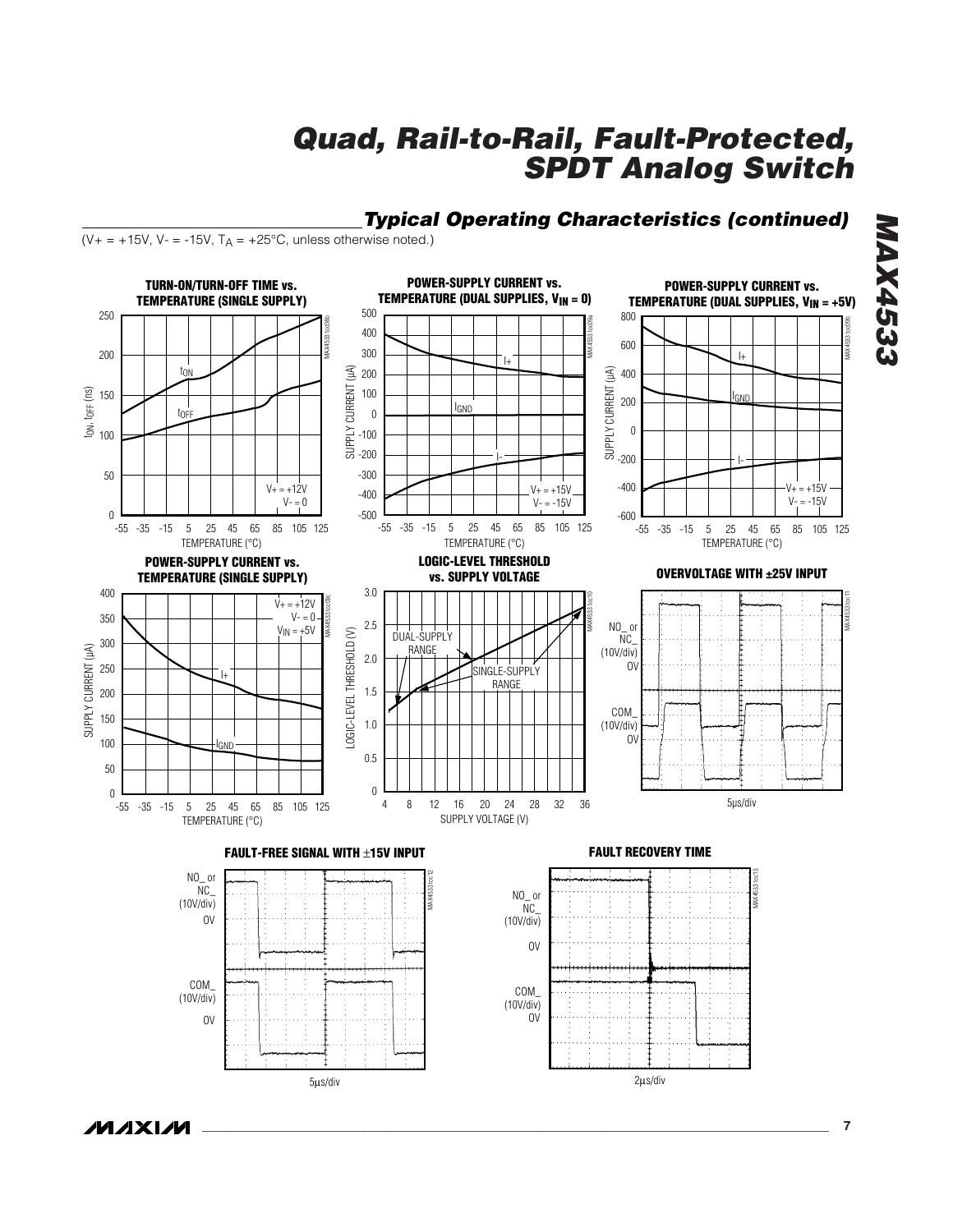

*\_\_\_\_\_\_\_\_\_\_\_\_\_\_\_\_\_\_\_\_\_\_\_\_\_\_\_\_\_\_\_\_\_\_\_\_\_\_\_\_\_\_\_\_\_\_\_\_\_\_\_\_\_\_\_\_\_\_\_\_\_\_\_\_\_\_\_\_\_\_\_\_\_\_\_\_\_\_\_\_\_\_\_\_\_\_\_* **7**

*MAX4533*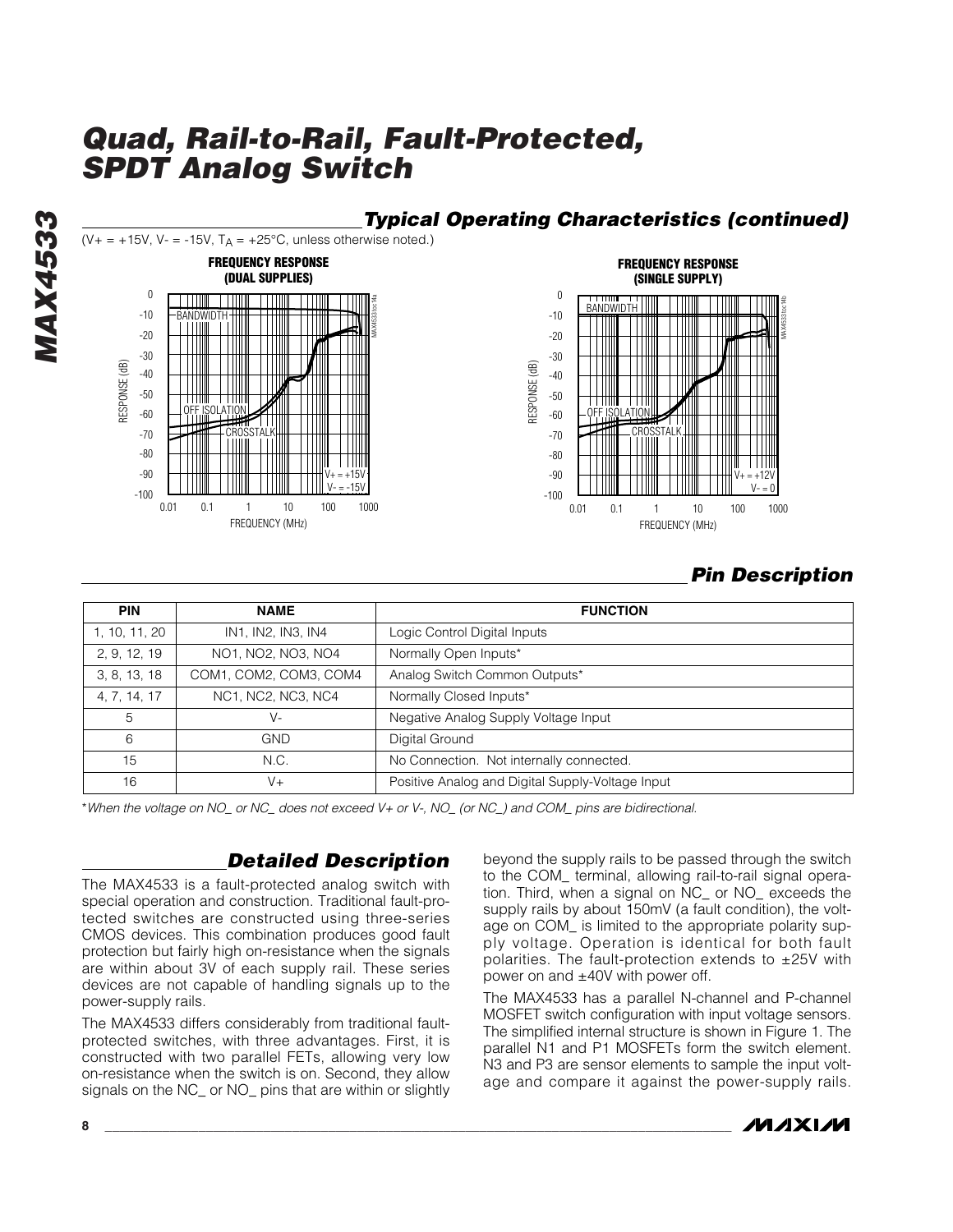

## *Pin Description*

| <b>PIN</b>    | <b>NAME</b>            | <b>FUNCTION</b>                                  |
|---------------|------------------------|--------------------------------------------------|
| 1, 10, 11, 20 | IN1, IN2, IN3, IN4     | Logic Control Digital Inputs                     |
| 2, 9, 12, 19  | NO1, NO2, NO3, NO4     | Normally Open Inputs*                            |
| 3, 8, 13, 18  | COM1, COM2, COM3, COM4 | Analog Switch Common Outputs*                    |
| 4, 7, 14, 17  | NC1, NC2, NC3, NC4     | Normally Closed Inputs*                          |
| 5             | $V -$                  | Negative Analog Supply Voltage Input             |
| 6             | GND                    | Digital Ground                                   |
| 15            | N.C.                   | No Connection. Not internally connected.         |
| 16            | $V +$                  | Positive Analog and Digital Supply-Voltage Input |

\**When the voltage on NO\_ or NC\_ does not exceed V+ or V-, NO\_ (or NC\_) and COM\_ pins are bidirectional.*

### *Detailed Description*

The MAX4533 is a fault-protected analog switch with special operation and construction. Traditional fault-protected switches are constructed using three-series CMOS devices. This combination produces good fault protection but fairly high on-resistance when the signals are within about 3V of each supply rail. These series devices are not capable of handling signals up to the power-supply rails.

The MAX4533 differs considerably from traditional faultprotected switches, with three advantages. First, it is constructed with two parallel FETs, allowing very low on-resistance when the switch is on. Second, they allow signals on the NC\_ or NO\_ pins that are within or slightly beyond the supply rails to be passed through the switch to the COM\_ terminal, allowing rail-to-rail signal operation. Third, when a signal on NC\_ or NO\_ exceeds the supply rails by about 150mV (a fault condition), the voltage on COM\_ is limited to the appropriate polarity supply voltage. Operation is identical for both fault polarities. The fault-protection extends to  $\pm 25V$  with power on and ±40V with power off.

The MAX4533 has a parallel N-channel and P-channel MOSFET switch configuration with input voltage sensors. The simplified internal structure is shown in Figure 1. The parallel N1 and P1 MOSFETs form the switch element. N3 and P3 are sensor elements to sample the input voltage and compare it against the power-supply rails.



*MAX4533* **MAX4533**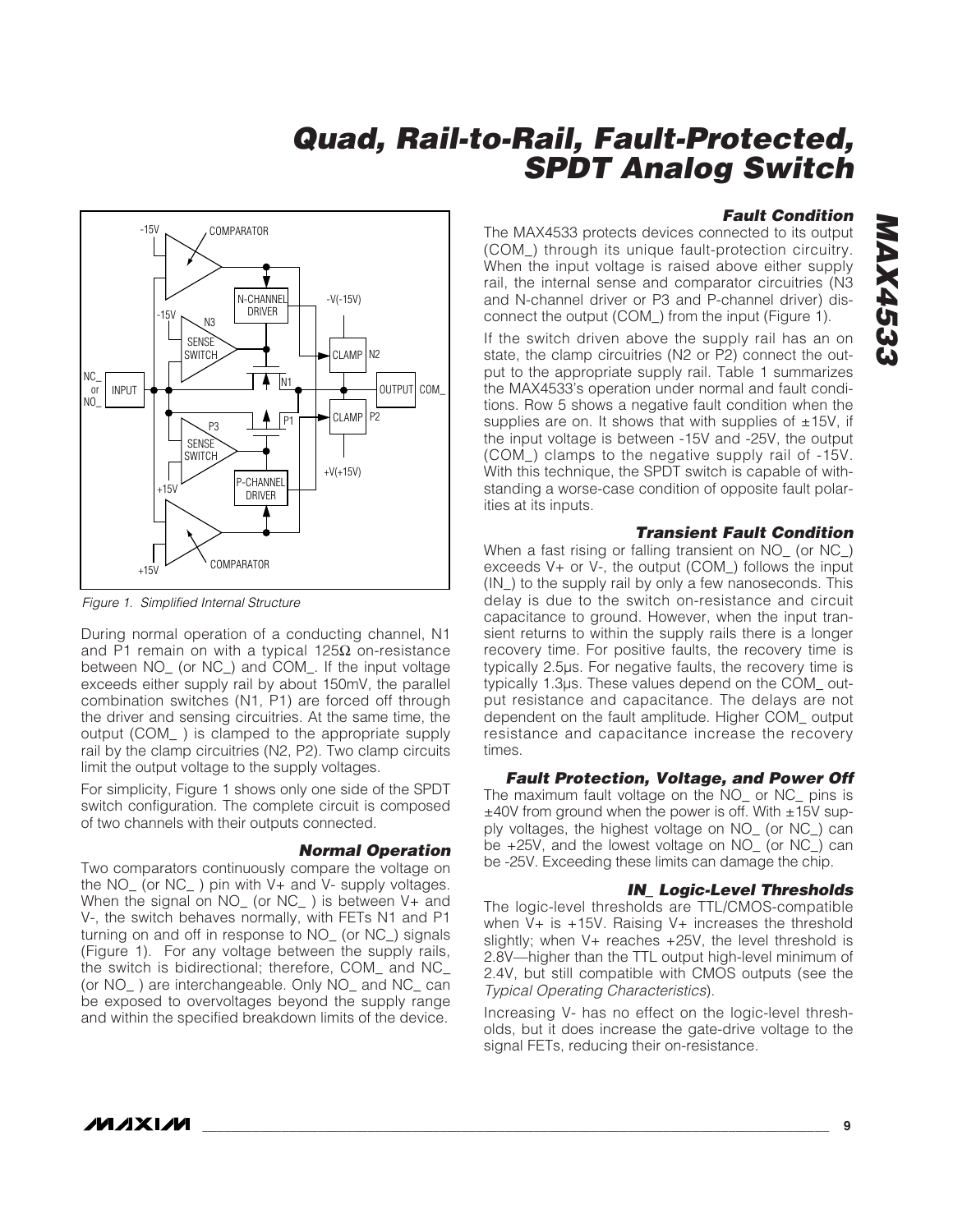

*Figure 1. Simplified Internal Structure*

During normal operation of a conducting channel, N1 and P1 remain on with a typical 125 $Ω$  on-resistance between NO\_ (or NC\_) and COM\_. If the input voltage exceeds either supply rail by about 150mV, the parallel combination switches (N1, P1) are forced off through the driver and sensing circuitries. At the same time, the output (COM\_ ) is clamped to the appropriate supply rail by the clamp circuitries (N2, P2). Two clamp circuits limit the output voltage to the supply voltages.

For simplicity, Figure 1 shows only one side of the SPDT switch configuration. The complete circuit is composed of two channels with their outputs connected.

#### *Normal Operation*

Two comparators continuously compare the voltage on the NO\_ (or NC\_ ) pin with V+ and V- supply voltages. When the signal on NO<sub>\_</sub> (or NC<sub>\_</sub>) is between V+ and V-, the switch behaves normally, with FETs N1 and P1 turning on and off in response to NO\_ (or NC\_) signals (Figure 1). For any voltage between the supply rails, the switch is bidirectional; therefore, COM\_ and NC\_ (or NO\_ ) are interchangeable. Only NO\_ and NC\_ can be exposed to overvoltages beyond the supply range and within the specified breakdown limits of the device.

#### *Fault Condition*

The MAX4533 protects devices connected to its output (COM\_) through its unique fault-protection circuitry. When the input voltage is raised above either supply rail, the internal sense and comparator circuitries (N3 and N-channel driver or P3 and P-channel driver) disconnect the output (COM\_) from the input (Figure 1).

If the switch driven above the supply rail has an on state, the clamp circuitries (N2 or P2) connect the output to the appropriate supply rail. Table 1 summarizes the MAX4533's operation under normal and fault conditions. Row 5 shows a negative fault condition when the supplies are on. It shows that with supplies of  $\pm$ 15V, if the input voltage is between -15V and -25V, the output (COM\_) clamps to the negative supply rail of -15V. With this technique, the SPDT switch is capable of withstanding a worse-case condition of opposite fault polarities at its inputs.

#### *Transient Fault Condition*

When a fast rising or falling transient on NO\_ (or NC\_) exceeds V+ or V-, the output (COM\_) follows the input (IN\_) to the supply rail by only a few nanoseconds. This delay is due to the switch on-resistance and circuit capacitance to ground. However, when the input transient returns to within the supply rails there is a longer recovery time. For positive faults, the recovery time is typically 2.5µs. For negative faults, the recovery time is typically 1.3µs. These values depend on the COM\_ output resistance and capacitance. The delays are not dependent on the fault amplitude. Higher COM\_ output resistance and capacitance increase the recovery times.

#### *Fault Protection, Voltage, and Power Off*

The maximum fault voltage on the NO\_ or NC\_ pins is  $±40V$  from ground when the power is off. With  $±15V$  supply voltages, the highest voltage on NO\_ (or NC\_) can be +25V, and the lowest voltage on NO\_ (or NC\_) can be -25V. Exceeding these limits can damage the chip.

#### *IN\_ Logic-Level Thresholds*

The logic-level thresholds are TTL/CMOS-compatible when  $V+$  is  $+15V$ . Raising  $V+$  increases the threshold slightly; when V+ reaches +25V, the level threshold is 2.8V—higher than the TTL output high-level minimum of 2.4V, but still compatible with CMOS outputs (see the *Typical Operating Characteristics*).

Increasing V- has no effect on the logic-level thresholds, but it does increase the gate-drive voltage to the signal FETs, reducing their on-resistance.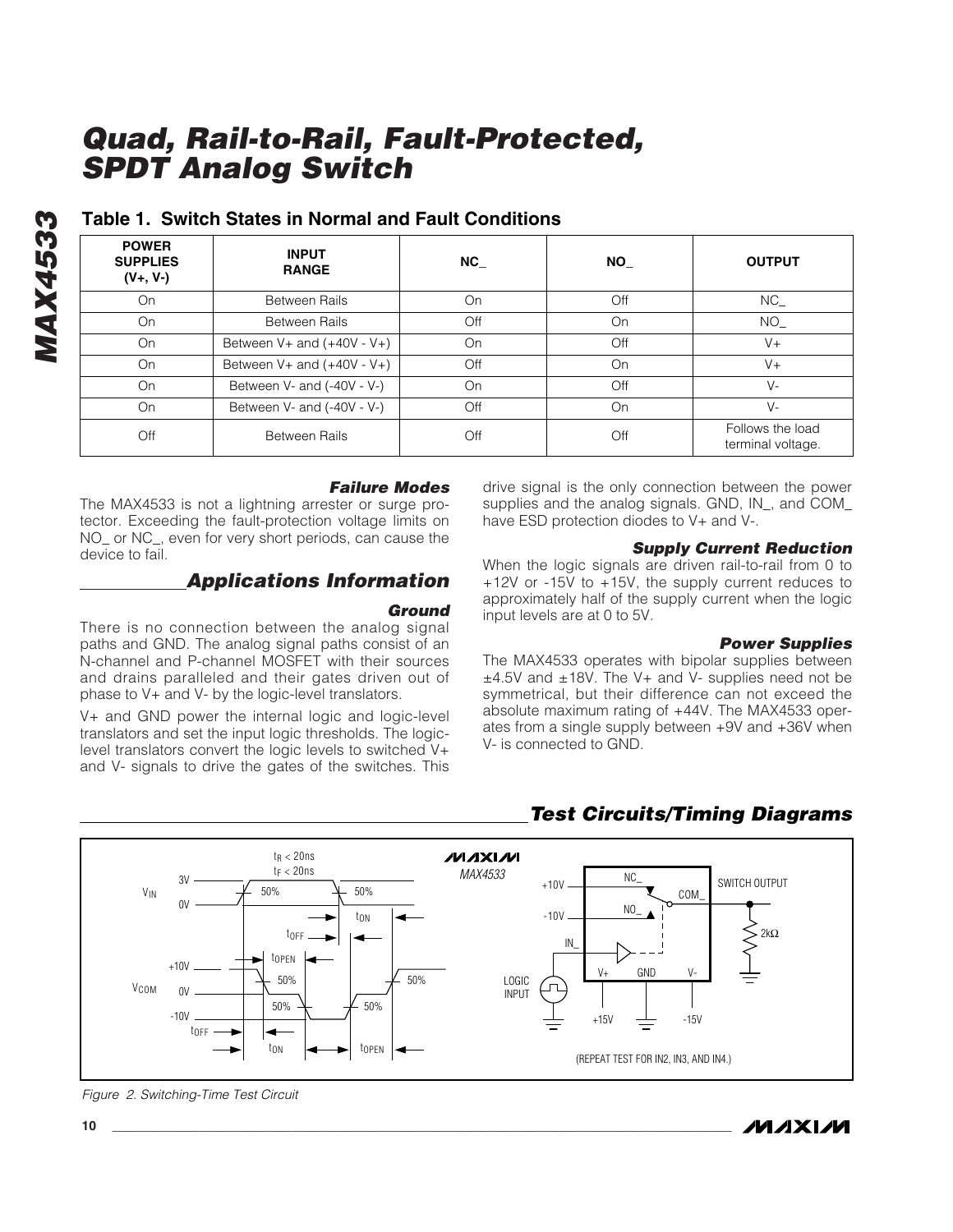| <b>POWER</b><br><b>SUPPLIES</b><br>$(V+, V-)$ | <b>INPUT</b><br><b>RANGE</b>    | <b>NC</b> | <b>NO</b> | <b>OUTPUT</b>                         |
|-----------------------------------------------|---------------------------------|-----------|-----------|---------------------------------------|
| On                                            | Between Rails                   | On        | Off       | NC                                    |
| On                                            | <b>Between Rails</b>            | Off       | On        | NO.                                   |
| On                                            | Between $V$ + and $(+40V - V+)$ | On        | Off       | $V +$                                 |
| On                                            | Between $V$ + and $(+40V - V+)$ | Off       | On        | $V +$                                 |
| On                                            | Between V- and (-40V - V-)      | On        | Off       | $V -$                                 |
| On                                            | Between V- and (-40V - V-)      | Off       | On        | V-                                    |
| Off                                           | <b>Between Rails</b>            | Off       | Off       | Follows the load<br>terminal voltage. |

### **Table 1. Switch States in Normal and Fault Conditions**

#### *Failure Modes*

The MAX4533 is not a lightning arrester or surge protector. Exceeding the fault-protection voltage limits on NO or NC, even for very short periods, can cause the device to fail.

## *Applications Information*

#### *Ground*

There is no connection between the analog signal paths and GND. The analog signal paths consist of an N-channel and P-channel MOSFET with their sources and drains paralleled and their gates driven out of phase to V+ and V- by the logic-level translators.

V+ and GND power the internal logic and logic-level translators and set the input logic thresholds. The logiclevel translators convert the logic levels to switched V+ and V- signals to drive the gates of the switches. This drive signal is the only connection between the power supplies and the analog signals. GND, IN\_, and COM\_ have ESD protection diodes to V+ and V-.

### *Supply Current Reduction*

When the logic signals are driven rail-to-rail from 0 to +12V or -15V to +15V, the supply current reduces to approximately half of the supply current when the logic input levels are at 0 to 5V.

#### *Power Supplies*

The MAX4533 operates with bipolar supplies between  $±4.5V$  and  $±18V$ . The V $+$  and V $-$  supplies need not be symmetrical, but their difference can not exceed the absolute maximum rating of +44V. The MAX4533 operates from a single supply between +9V and +36V when V- is connected to GND.



### *Test Circuits/Timing Diagrams*

*Figure 2. Switching-Time Test Circuit*

*MAX4533*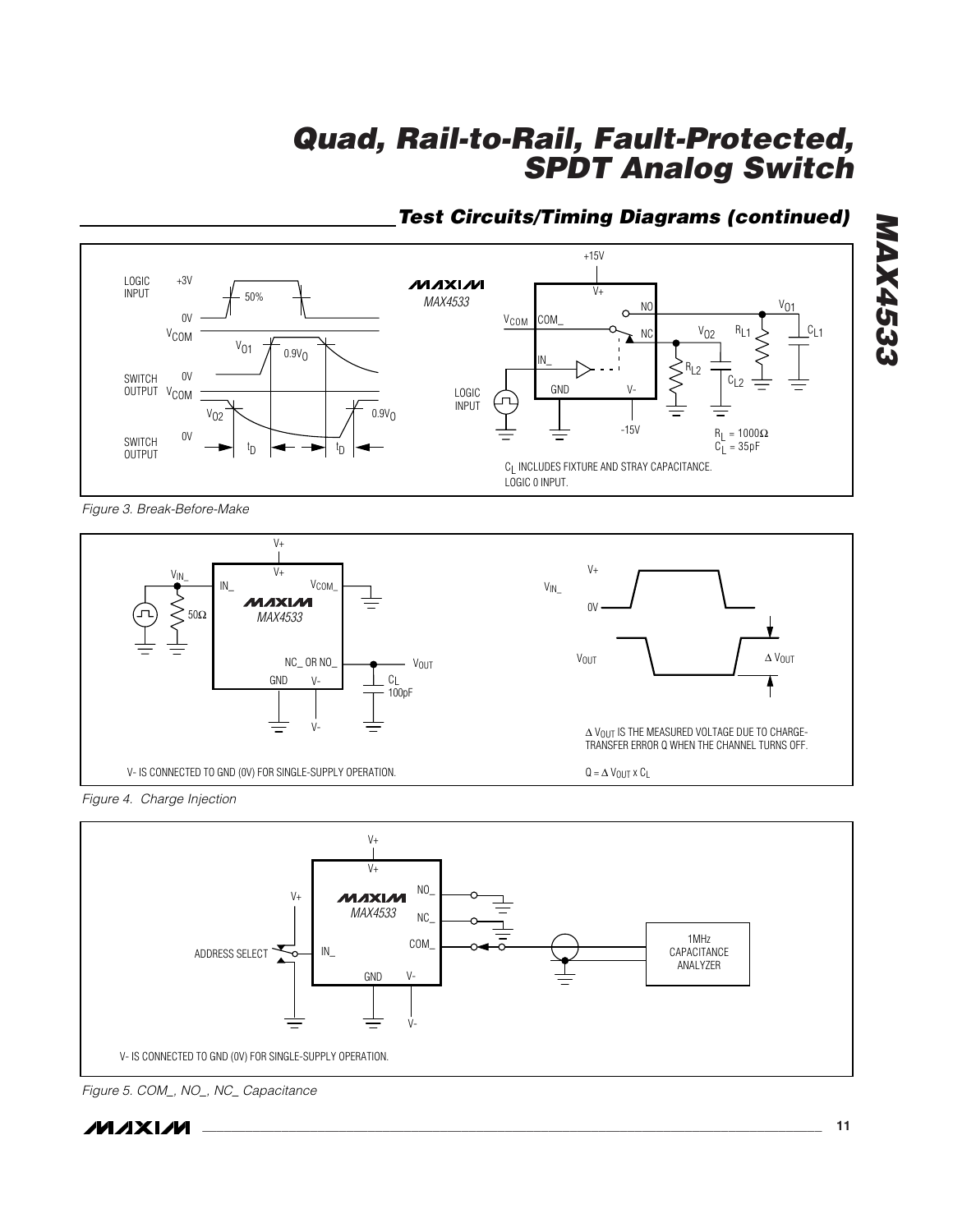## *Test Circuits/Timing Diagrams (continued)*



*Figure 3. Break-Before-Make* 







*Figure 5. COM\_, NO\_, NC\_ Capacitance*



*MAX4533*